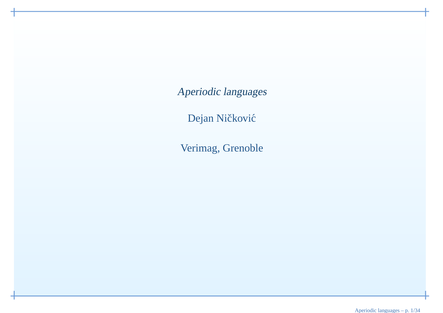Aperiodic languages

Dejan Ničković

Verimag, Grenoble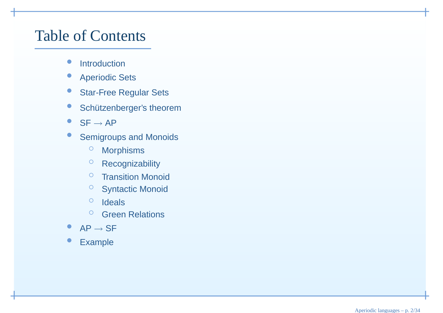#### Table of Contents

- $\bullet$ **Introduction**
- $\bullet$ Aperiodic Sets
- $\bullet$ Star-Free Regular Sets
- $\bullet$ Schützenberger's theorem
- $\bullet$  $S_F \rightarrow AP$
- **Semigroups and Monoids**  $\bullet$ 
	- $\circ$ Morphisms
	- $\circ$ Recognizability
	- $\circ$ **Transition Monoid**
	- Syntactic Monoid
	- $\bigcirc$ Ideals
	- <sup>O</sup> Green Relations  $\bigcirc$
- • $\begin{array}{c}\n\bullet \quad \mathsf{AP} \rightarrow \mathsf{SF}\n\end{array}$
- Example  $\bullet$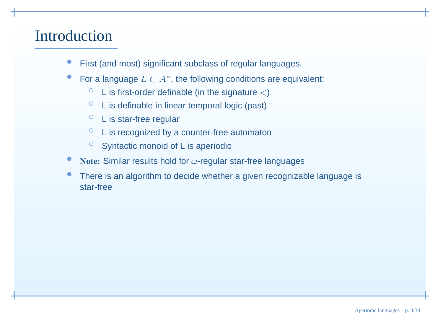#### Introduction

- •First (and most) significant subclass of regular languages.
- •For a language  $L \subset A^*$ , the following conditions are equivalent:
	- $\circ$  $\circ$  L is first-order definable (in the signature  $<$ )
	- $\circ$ <sup>L</sup> is definable in linear temporal logic (past)
	- $\circ$ <sup>L</sup> is star-free regular
	- $\circ$ <sup>L</sup> is recognized by <sup>a</sup> counter-free automaton
	- $\circ$  Syntactic monoid of L is aperiodic
- •**Note:** Similar results hold for <sup>ω</sup>-regular star-free languages
- •• There is an algorithm to decide whether a given recognizable language is star-free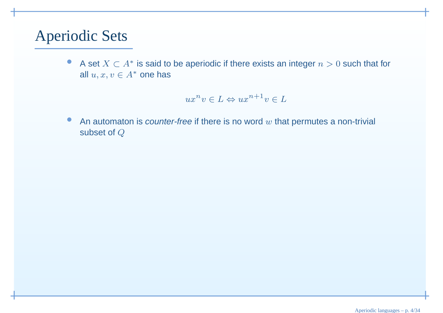#### Aperiodic Sets

 $\bullet$ A set  $X \subset A^*$  is said to be aperiodic if there exists an integer  $n > 0$  such that for all  $u, x, v \in A^*$  one has

$$
ux^nv \in L \Leftrightarrow ux^{n+1}v \in L
$$

 $\bullet$ An automaton is *counter-free* if there is no word  $w$  that permutes a non-trivial and subset of  $Q$ subset of Q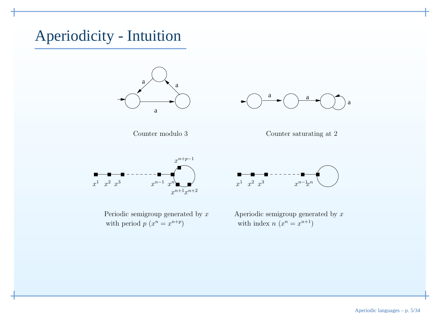#### Aperiodicity - Intuition









Periodic semigroup generated by  $x$ with period  $p(x^n = x^{n+p})$  with index  $n(x^n = x^{n+p})$ 



x Aperiodic semigroup generated by  $x$  $x^n = x^{n+p}$  with index  $n(x^n = x^{n+1})$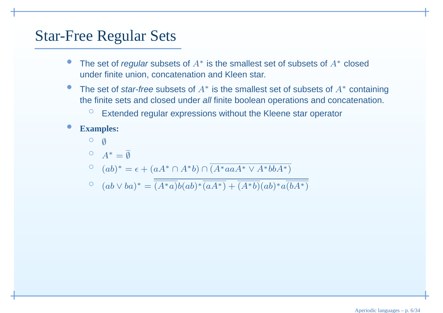#### Star-Free Regular Sets

- •● The set of *regular* subsets of  $A^*$  is the smallest set of subsets of  $A^*$  closed under finite union, concatenation and Kleen star.
- $\bullet$ ● The set of *star-free* subsets of  $A^*$  is the smallest set of subsets of  $A^*$  containing the finite sets and closed under *all* finite boolean operations and concatenation.
	- $\circ$ Extended regular expressions without the Kleene star operator
- • **Examples:**
	- $\circ$  $\emptyset$
	- $\overline{A}^*=\overline{\emptyset}$
	- $(ab)$ <sup>\*</sup>:  $^* = \epsilon + (aA^*)$  $^* \cap A^*$ \* $b) \cap (A^*aaA^*$ \* ∨ $A^*bbA^*$

$$
(ab \vee ba)^* = \overline{(A^*a)b(ab)^* \overline{(aA^*)}} + \overline{(A^*b)}(ab)^*a\overline{(bA^*)}
$$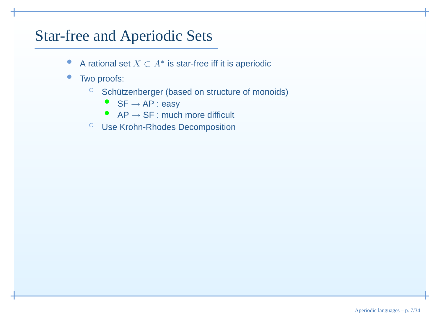#### Star-free and Aperiodic Sets

- •● A rational set  $X\subset A^*$  is star-free iff it is aperiodic
- $\bullet$  Two proofs:
	- $\circ$  Schützenberger (based on structure of monoids)
		- $\bullet$ ● SF → AP : easy<br>● AP → SF : muck
		- $AP \rightarrow SF$  : much more difficult
	- Use Krohn-Rhodes Decomposition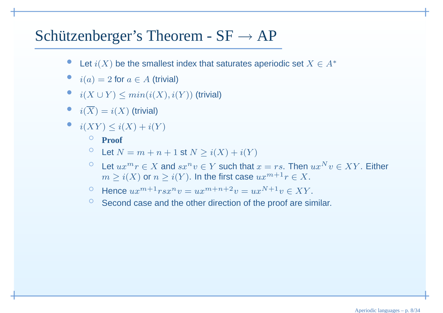# Schützenberger's Theorem -  $SF \rightarrow AP$

- •Let  $i(X)$  be the smallest index that saturates aperiodic set  $X \in A^*$
- $i(a) = 2$  for  $a \in A$  (trivial)
- $i(X \cup Y) \le min(i(X), i(Y))$  (trivial)
- $i(X) = i(X)$  (trivial)
- $i(XY) \leq i(X) + i(Y)$

#### ◦ **Proof**

- $\circ$  $\circ$  Let  $N = m + n + 1$  st  $N \ge i(X) + i(Y)$
- Let  $ux^mr \in X$  and  $sx^nv \in Y$  such that  $x = rs$ . Then  $ux^Nv \in XY$ . Either  $m > i(Y)$  or  $n > i(Y)$  the first case  $ux^{m+1}v \in Y$  $m\geq i(X)$  or  $n\geq i(Y).$  In the first case  $ux^{m+1}r\in X.$
- Hence  $ux^{m+1}rsx^n v = ux^{m+n+2}v = ux^{N+1}v \in XY$ .
- $\degree$  Second case and the other direction of the proof are similar.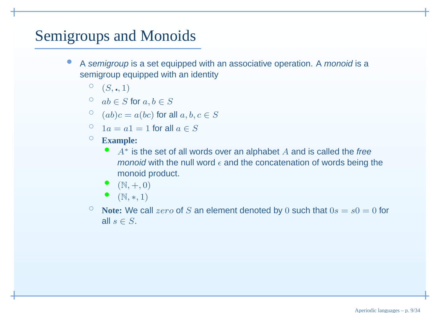#### Semigroups and Monoids

- ◦•A semigroup is a set equipped with an associative operation. A monoid is a semigroup equipped with an identity
	- $^{\circ}$   $(S, \blacksquare, 1)$
	- $ab \in S$  for  $a, b \in S$
	- $\circ$   $(ab)c = a(bc)$  for all  $a, b, c \in S$
	- $\degree$  1a = a1 = 1 for all  $a \in S$
	- **Example:**
		- $A^*$  is the set of all words over an alphabet  $A$  and is called the free *monoid* with the null word  $\epsilon$  and the concatenation of words being the monoid product.
		- • $(N, +, 0)$
		- $\bullet$   $(N,*,1)$
	- $\circ$  $\frac{1}{2}$  Note: We call *zero* of S an element denoted by 0 such that  $0s = s0 = 0$  for all  $s\in S.$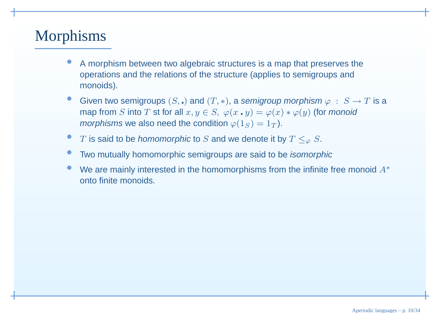#### Morphisms

- • <sup>A</sup> morphism between two algebraic structures is <sup>a</sup> map that preserves theoperations and the relations of the structure (applies to semigroups andmonoids).
- •Given two semigroups  $(S, \square)$  and  $(T, *)$ , a semigroup morphism  $\varphi : S \to T$  is a map from S into T st for all  $x, y \in S$   $\varphi(x, y) = \varphi(x) * \varphi(y)$  (for monoid map from S into T st for all  $x, y \in S$ ,  $\varphi(x \cdot y) = \varphi(x) * \varphi(y)$  (for *monoid morphisms* we also need the condition  $\varphi(1_S) = 1_T$ ).
- • $\bullet$   $T$  is said to be *homomorphic* to  $S$  and we denote it by  $T \le_\varphi S.$
- •**• Two mutually homomorphic semigroups are said to be** *isomorphic*
- •We are mainly interested in the homomorphisms from the infinite free monoid  $A^*$ onto finite monoids.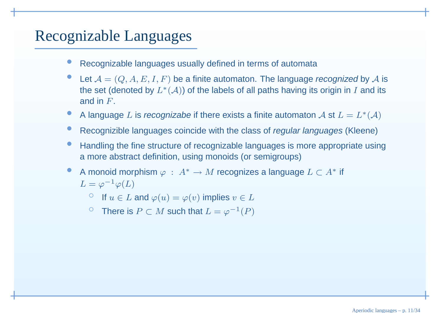#### Recognizable Languages

- •Recognizable languages usually defined in terms of automata
- •Let  $A = (Q, A, E, I, F)$  be a finite automaton. The language recognized by A is<br>the set (denoted by  $I^*(A)$ ) of the labels of all nothe hoving its exigin in Land its the set (denoted by  $L^*(\mathcal A)$ ) of the labels of all paths having its origin in  $I$  and its and in  $F_\cdot$
- •A language L is recognizabe if there exists a finite automaton  $\mathcal A$  st  $L=L^*(\mathcal A)$
- •**•** Recognizible languages coincide with the class of *regular languages* (Kleene)
- •**• Handling the fine structure of recognizable languages is more appropriate using** <sup>a</sup> more abstract definition, using monoids (or semigroups)
- •A monoid morphism  $\varphi$  :  $A^*$  $^* \to M$  recognizes a language  $L \subset A^*$  if  $L=\varphi^{-1}$  $^1\varphi(L)$ 
	- If  $u \in L$  and  $\varphi(u) = \varphi(v)$  implies  $v \in L$
	- <sup>○</sup> There is  $P \subset M$  such that  $L = \varphi^{-1}(P)$ ◦ $^1(P)$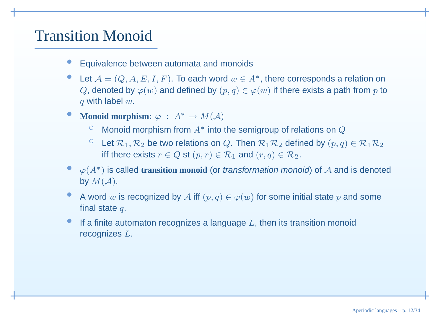#### Transition Monoid

- •Equivalence between automata and monoids
- •Let  $\mathcal{A} = (Q, A, E, I, F)$ . To each word  $w \in A^*$ , there corresponds a relation on  $Q$ , denoted by  $\varphi(w)$  and defined by  $(p,q) \in \varphi(w)$  if there exists a path from  $p$  to with label.  $q$  with label  $w.$
- •**Monoid morphism:**  $\varphi : A^* \to M(A)$ 
	- $\circ$  $\circ$  Monoid morphism from  $A^*$  into the semigroup of relations on  $Q$
	- Let  $\mathcal{R}_1, \mathcal{R}_2$  be two relations on Q. Then  $\mathcal{R}_1 \mathcal{R}_2$  defined by  $(p, q) \in \mathcal{R}_1 \mathcal{R}_2$ <br>if there exists  $q \in \mathcal{Q}$  at  $(q, q) \in \mathcal{R}_2$  and  $(q, q) \in \mathcal{R}_1$ ◦iff there exists  $r \in Q$  st  $(p,r) \in \mathcal{R}_1$  and  $(r,q) \in \mathcal{R}_2$ .
- • <sup>ϕ</sup>(A∗) is called **transition monoid** (or transformation monoid) of <sup>A</sup> and is denoted by  $M(\mathcal{A}).$
- •A word w is recognized by A iff  $(p, q) \in \varphi(w)$  for some initial state p and some final state final state  $q.$
- •If a finite automaton recognizes a language  $L$ , then its transition monoid recognizes  $L_{\cdot}$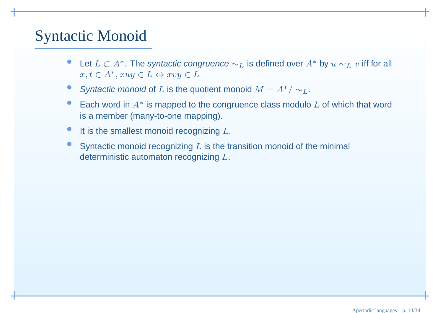#### Syntactic Monoid

- •■ Let  $L \subset A^*$ . The syntactic congruence  $\sim_L$  is defined over  $A^*$  by  $u \sim_L v$  iff for all  $u \in A^*$  and  $\subset L$  () and  $\subset L$  $x, t \in A^*, xuy \in L \Leftrightarrow xvy \in L$
- •Syntactic monoid of L is the quotient monoid  $M = A^*/\sim_L.$
- •■ Each word in  $A^*$  is mapped to the congruence class modulo  $L$  of which that word is <sup>a</sup> member (many-to-one mapping).
- •It is the smallest monoid recognizing  $L$ .
- •Syntactic monoid recognizing  $L$  is the transition monoid of the minimal deterministic automaton recognizing  $L.$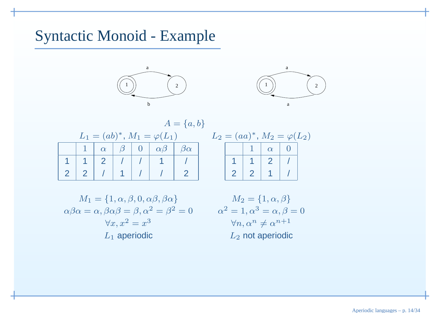#### Syntactic Monoid - Example





|  |          |         |                                    | $A = \{a, b\}$    |  |
|--|----------|---------|------------------------------------|-------------------|--|
|  |          |         | $L_1 = (ab)^*, M_1 = \varphi(L_1)$ |                   |  |
|  | $\alpha$ | $\beta$ | $\alpha\beta$                      | $^{\prime}\alpha$ |  |
|  |          |         |                                    |                   |  |
|  |          |         |                                    |                   |  |

| $L_2 = (aa)^*, M_2 = \varphi(L_2)$ |  |  |          |  |  |  |
|------------------------------------|--|--|----------|--|--|--|
|                                    |  |  | $\alpha$ |  |  |  |
|                                    |  |  |          |  |  |  |
|                                    |  |  |          |  |  |  |

$$
M_1 = \{1, \alpha, \beta, 0, \alpha\beta, \beta\alpha\}
$$

$$
\alpha\beta\alpha = \alpha, \beta\alpha\beta = \beta, \alpha^2 = \beta^2 = 0
$$

$$
\forall x, x^2 = x^3
$$

$$
L_1 \text{ aperiodic}
$$

$$
M_2 = \{1, \alpha, \beta\}
$$
  
\n
$$
\alpha^2 = 1, \alpha^3 = \alpha, \beta = 0
$$
  
\n
$$
\forall n, \alpha^n \neq \alpha^{n+1}
$$
  
\n
$$
L_2 \text{ not aperiodic}
$$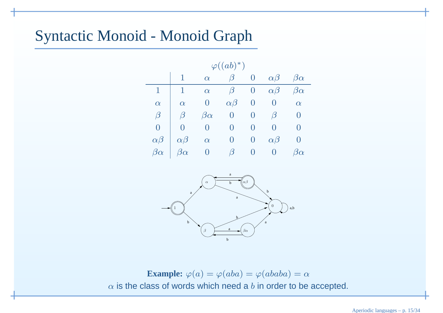#### Syntactic Monoid - Monoid Graph

| $\varphi((ab)^*)$ |               |               |                    |                  |               |                     |
|-------------------|---------------|---------------|--------------------|------------------|---------------|---------------------|
|                   | 1             | $\alpha$      | $\beta$            | 0                | $\alpha\beta$ | $\beta\alpha$       |
| 1                 | 1             | $\alpha$      | $\beta$            | O                | $\alpha\beta$ | $\beta\alpha$       |
| $\alpha$          | $\alpha$      | $\cup$        | $\alpha\beta$      | 0                | $\cup$        | $\alpha$            |
| $\beta$           | $\beta$       | $\beta\alpha$ | $\left( \ \right)$ |                  | $\beta$       | $\cup$              |
| $\theta$          | O             | $\cup$        | $\left( \ \right)$ | 0                |               | $\left( \right)$    |
| $\alpha\beta$     | $\alpha\beta$ | $\alpha$      | O                  | O                | $\alpha\beta$ | $\left( \right)$    |
| $\beta\alpha$     | $\beta\alpha$ | $\cup$        | $\beta$            | $\left( \right)$ |               | $\mathfrak I\alpha$ |



**Example:**  $\varphi(a) = \varphi(aba) = \varphi(ababa) = \alpha$  $\alpha$  is the class of words which need a  $b$  in order to be accepted.

Aperiodic languages – p. 15/34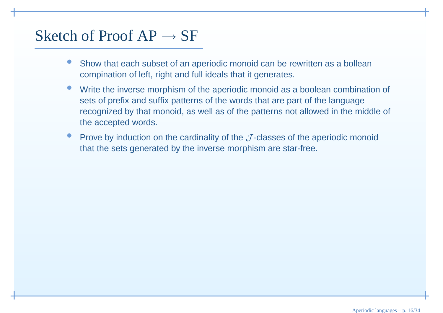# Sketch of Proof  $AP \rightarrow SF$

- • Show that each subset of an aperiodic monoid can be rewritten as <sup>a</sup> bolleancompination of left, right and full ideals that it generates.
- • Write the inverse morphism of the aperiodic monoid as <sup>a</sup> boolean combination of sets of prefix and suffix patterns of the words that are part of the language recognized by that monoid, as well as of the patterns not allowed in the middle of the accepted words.
- •Prove by induction on the cardinality of the  $J$ -classes of the aperiodic monoid that the sets generated by the inverse morphism are star-free.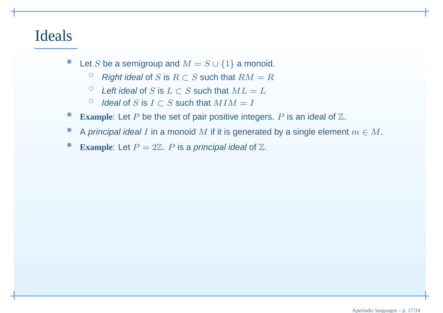#### Ideals

- •Let S be a semigroup and  $M = S \cup \{1\}$  a monoid.
	- $\circ$  $\circ$  Right ideal of S is  $R ⊂ S$  such that  $RM = R$
	- $\circ$ ○ Left ideal of S is  $L \subset S$  such that  $ML = L$
	- $\circ$  $\circ$  Ideal of S is  $I \subset S$  such that  $MIM = I$
- •**Example:** Let P be the set of pair positive integers. P is an ideal of Z.
- •A principal ideal I in a monoid  $M$  if it is generated by a single element  $m \in M$ .
- •**Example:** Let  $P = 2\mathbb{Z}$ . P is a principal ideal of  $\mathbb{Z}$ .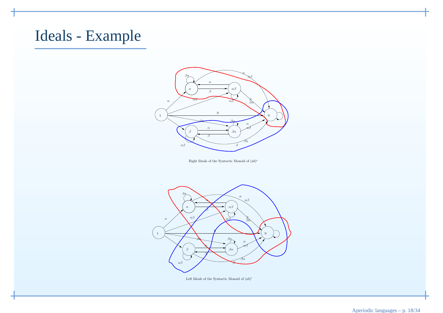#### Ideals - Example



Right Ideals of the Syntactic Monoid of (ab)<sup>∗</sup>



Left Ideals of the Syntactic Monoid of (ab)<sup>∗</sup>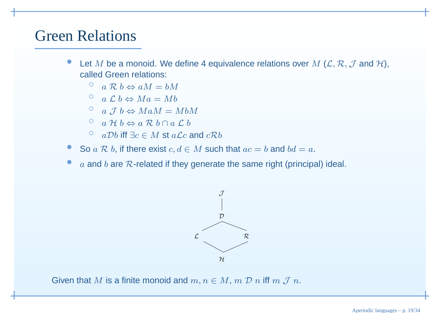#### Green Relations

- •Let M be a monoid. We define 4 equivalence relations over  $M$  ( $\mathcal{L}, \mathcal{R}, \mathcal{J}$  and  $\mathcal{H}$ ),<br>called Green relations: called Green relations:
	- $\circ$  $\alpha$  a R  $b \Leftrightarrow aM = bM$ <br>
	- $\circ$  $\begin{array}{c} \circ \quad a \mathrel{\mathcal{L}} b \Leftrightarrow Ma = Mb \end{array}$
	- a J b  $\Leftrightarrow$  MaM = MbM
	- ° a H b  $\Leftrightarrow$  a R b ∩ a L b
	- $\circ$  $\circ$  aDb iff ∃c ∈ M st a Lc and cRb
- •So  $a \mathcal{R} b$ , if there exist  $c, d \in M$  such that  $ac = b$  and  $bd = a$ .
- ••  $a$  and  $b$  are  $R$ -related if they generate the same right (principal) ideal.



Given that  $M$  is a finite monoid and  $m,n\in M,$   $m$   ${\cal D}$   $n$  iff  $m$   ${\cal J}$   $n.$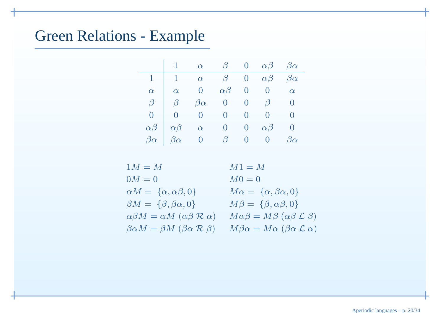#### Green Relations - Example

|               |               | $\alpha$      | $\vert \beta \vert$ | $\overline{0}$ | $\alpha\beta$ | $\beta\alpha$ |
|---------------|---------------|---------------|---------------------|----------------|---------------|---------------|
| 1             | 1             | $\alpha$      | $\beta$             | $\bm{0}$       | $\alpha\beta$ | $\beta\alpha$ |
| $\alpha$      | $\alpha$      |               | $\alpha\beta$       |                | $\theta$      | $\alpha$      |
| $\beta$       | ัร            | $\beta\alpha$ | 0                   |                | $\beta$       |               |
| O             |               |               | 0                   |                |               |               |
| $\alpha\beta$ | $\alpha\beta$ | $\alpha$      | 0                   | O              | $\alpha\beta$ |               |
| $\beta\alpha$ | $\beta\alpha$ |               | $\beta$             | U              | U             | $\beta\alpha$ |

| $1M = M$                                                        | $M1 = M$                                                      |
|-----------------------------------------------------------------|---------------------------------------------------------------|
| $0M=0$                                                          | $M0=0$                                                        |
| $\alpha M = \{\alpha, \alpha \beta, 0\}$                        | $M\alpha = \{\alpha, \beta\alpha, 0\}$                        |
| $\beta M = \{\beta, \beta \alpha, 0\}$                          | $M\beta = \{\beta, \alpha\beta, 0\}$                          |
| $\alpha\beta M = \alpha M \; (\alpha\beta \; R \; \alpha)$      | $M\alpha\beta = M\beta$ ( $\alpha\beta \mathcal{L} \beta$ )   |
| $\beta \alpha M = \beta M$ ( $\beta \alpha \mathcal{R} \beta$ ) | $M\beta\alpha = M\alpha$ ( $\beta\alpha \mathcal{L} \alpha$ ) |
|                                                                 |                                                               |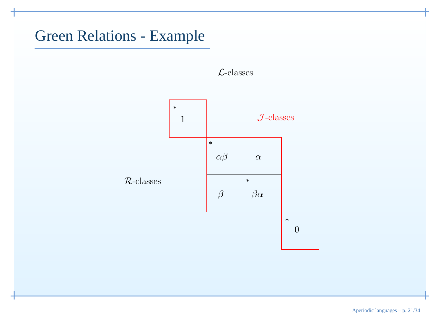#### Green Relations - Example



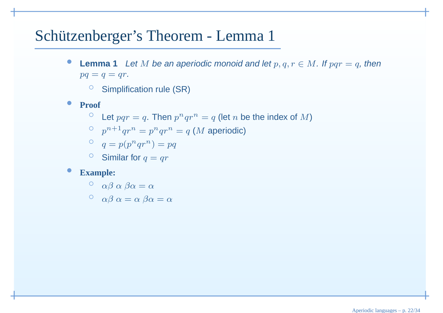### Schützenberger's Theorem - Lemma 1

- $\bullet$ **• Lemma 1** Let M be an aperiodic monoid and let  $p, q, r \in M$ . If  $pqr = q$ , then  $pa = a = ar$  $pq = q = qr.$ 
	- $\circ$  Simplification rule (SR)
- $\bullet$  **Proof**
	- $\circ$  Let  $pqr = q$ . Then  $p^nqr^n = q$  (let n be the index of M)
	- $\int_{0}^{\infty} p^{n+1}qr^n = p^nqr^n = q$  (*M* aperiodic)

$$
q = p(p^nqr^n) = pq
$$

 $\circ$  $\circ$  Similar for  $q = qr$ 

#### •**Example:**

$$
\circ \quad \alpha\beta\,\alpha\,\beta\alpha = \alpha
$$

$$
\circ \quad \alpha\beta\ \alpha = \alpha\ \beta\alpha = \alpha
$$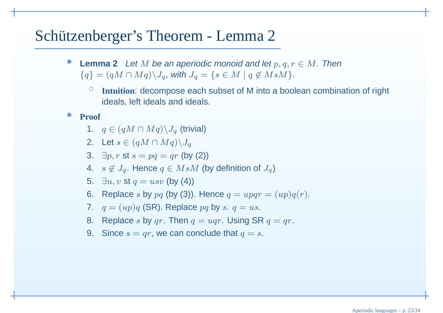### Schützenberger's Theorem - Lemma 2

- •**Lemma 2** Let M be an aperiodic monoid and let  $p, q, r \in M$ . Then  $\{a\} = (aM \cap Ma) \setminus I$  with  $I = \{s \in M \mid a \notin M s M\}$  ${q} = (qM \cap Mq) \setminus J_q$ , with  $J_q = {s \in M \mid q \not\in MsM}.$ 
	- ◦ **Intuition**: decompose each subset of <sup>M</sup> into <sup>a</sup> boolean combination of right ideals, left ideals and ideals.
- • **Proof**
	- 1.  $q \in (qM \cap Mq) \backslash J_q$  (trivial)
	- 2. Let  $s \in (qM \cap Mq) \backslash J_q$
	- 3.  $\exists p, r \text{ st } s = pq = qr \text{ (by (2))}$
	- 4.  $s \not\in J_q$ . Hence  $q \in M s M$  (by definition of  $J_q$ )
	- 5.  $\exists u, v$  st  $q = usv$  (by (4))
	- 6. Replace s by  $pq$  (by (3)). Hence  $q = upqr = (up)q(r)$ .
	- 7.  $q = (up)q$  (SR). Replace  $pq$  by  $s.$   $q = us$ .
	- 8. Replace  $s$  by  $qr$ . Then  $q = uqr$ . Using SR  $q = qr$ .
	- 9. Since  $s = qr$ , we can conclude that  $q = s$ .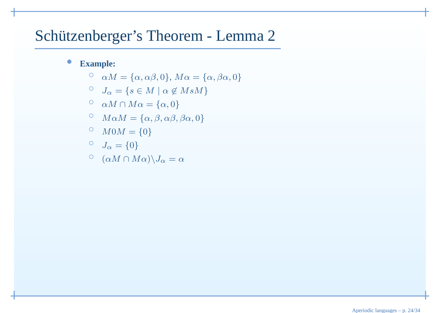## Schützenberger's Theorem - Lemma 2

#### $\bullet$ **Example:**

- $\circ$  $\alpha M = {\alpha, \alpha\beta, 0}, M\alpha = {\alpha, \beta\alpha, 0}$
- $\begin{align} \n\begin{aligned}\n\circ \quad & J_{\alpha} = \{s \in M \mid \alpha \not\in MsM\} \\
\circ \quad & M \in M.\n\end{aligned}\n\end{align}$
- $\alpha M \cap M\alpha = \{\alpha, 0\}$
- <sup>○</sup>  $M\alpha M = {\alpha, \beta, \alpha\beta, \beta\alpha, 0}$

$$
^{<}_{\odot} \quad M0M = \{0\}
$$

$$
\begin{array}{cc} \circ & J_{\alpha} = \{0\} \end{array}
$$

$$
^{\circ} \ \ (\alpha M \cap M\alpha)\backslash J_{\alpha} = \alpha
$$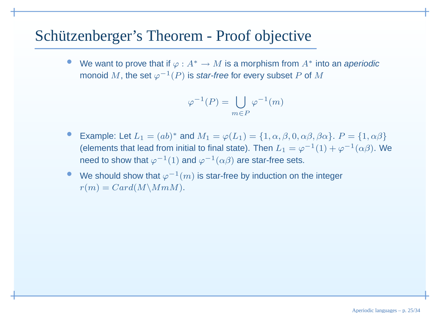#### Schützenberger's Theorem - Proof objective

•We want to prove that if  $\varphi : A^* \to M$  is a morphism from  $A^*$  into an aperiodic<br>monoid M, the set  $\varphi^{-1}(P)$  is star-free for every subset P of M. monoid  $M$ , the set  $\varphi^{-1}(P)$  is *star-free* for every subset  $P$  of  $M$ 

$$
\varphi^{-1}(P) = \bigcup_{m \in P} \varphi^{-1}(m)
$$

- •Example: Let  $L_1 = (ab)^*$  and  $M_1 = \varphi(L_1) = \{1, \alpha, \beta, 0, \alpha\beta, \beta\alpha\}$ .  $P = \{1, \alpha\beta\}$ (elements that lead from initial to final state). Then  $L_1 = \varphi^{-1}(1) + \varphi^{-1}(\alpha\beta)$ . We need to show that  $\varphi^{-1}(1)$  and  $\varphi^{-1}(\alpha\beta)$  are star-free sets.
- •● We should show that  $\varphi^{-1}(m)$  is star-free by induction on the integer  $r(m) = Card(M\backslash Mm)$ .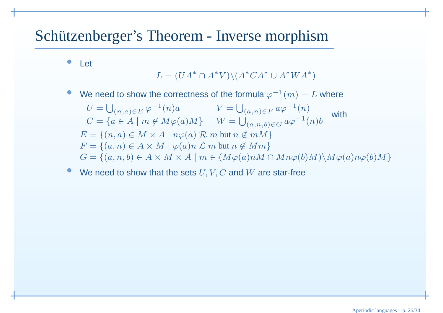## Schützenberger's Theorem - Inverse morphism

 $\bullet$ Let

$$
L = (UA^* \cap A^*V) \setminus (A^*CA^* \cup A^*WA^*)
$$

 $\bullet$ We need to show the correctness of the formula  $\varphi^{-1}(m) = L$  where

$$
U = \bigcup_{(n,a)\in E} \varphi^{-1}(n)a \qquad V = \bigcup_{(a,n)\in F} a\varphi^{-1}(n)
$$
  
\n
$$
C = \{a \in A \mid m \notin M\varphi(a)M\} \qquad W = \bigcup_{(a,n,b)\in G} a\varphi^{-1}(n)b \qquad \text{with}
$$
  
\n
$$
E = \{(n,a) \in M \times A \mid n\varphi(a) \in M \text{ but } n \notin mM\}
$$
  
\n
$$
F = \{(a,n) \in A \times M \mid \varphi(a)n \in M \text{ but } n \notin Mm\}
$$
  
\n
$$
G = \{(a,n,b) \in A \times M \times A \mid m \in (M\varphi(a)nM \cap Mn\varphi(b)M) \setminus M\varphi(a)n\varphi(b)M\}
$$

 $\bullet$ • We need to show that the sets  $U, V, C$  and  $W$  are star-free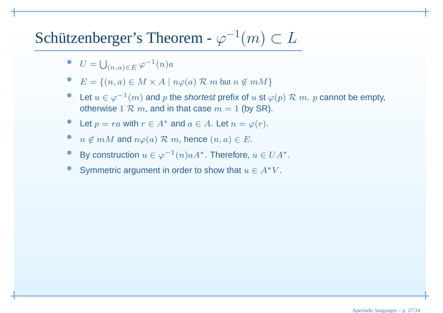## Schützenberger's Theorem -  $\varphi^{-1}(m) \subset L$

- $U = \bigcup_{(n,a)\in E} \varphi^{-1}(n)a$
- $E = \{(n, a) \in M \times A \mid n\varphi(a) \mathcal{R} \text{ } m \text{ } but } n \notin mM\}$
- •Let  $u \in \varphi^{-1}(m)$  and p the shortest prefix of u st  $\varphi(p) \mathcal{R}$  m. p cannot be empty,<br>otherwise 1  $\mathcal{R}$  m. and in thet case me of thy SB) otherwise  $1 \mathrel{{\mathcal R}} m,$  and in that case  $m = 1$  (by SR).
- •Let  $p = ra$  with  $r \in A^*$  and  $a \in A$ . Let  $n = \varphi(r)$ .
- • $\bullet$   $n \notin mM$  and  $n\varphi(a) \mathrel{\mathcal{R}} m$ , hence  $(n, a) \in E$ .
- • $\bullet$  By construction  $u \in \varphi^{-1}(n)aA^*$ . Therefore,  $u \in UA^*$ .
- •Symmetric argument in order to show that  $u \in A^*V$ .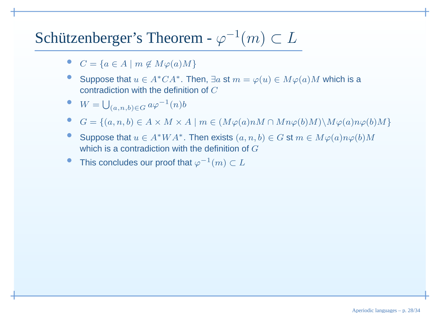## Schützenberger's Theorem -  $\varphi^{-1}(m) \subset L$

- • $C = \{a \in A \mid m \notin M\varphi(a)M\}$
- •Suppose that  $u \in A^*CA^*$ . Then,  $\exists a \text{ st } m = \varphi(u) \in M\varphi(a)M$  which is a contradiction with the definition of C contradiction with the definition of C
- $W = \bigcup_{(a,n,b)\in G} a\varphi^{-1}(n)b$
- • $G = \{(a, n, b) \in A \times M \times A \mid m \in (M\varphi(a)nM \cap Mn\varphi(b)M)\setminus M\varphi(a)n\varphi(b)M\}$
- •Suppose that  $u \in A^*WA^*$ . Then exists  $(a, n, b) \in G$  st  $m \in M\varphi(a)n\varphi(b)M$ <br>which is a controdiction with the definition of  $C$ which is a contradiction with the definition of  $G$
- •● This concludes our proof that  $\varphi^{-1}(m) \subset L$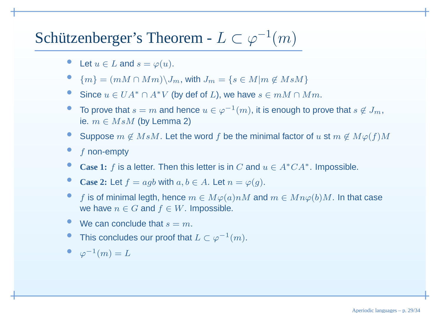## Schützenberger's Theorem -  $L \subset \varphi^{-1}(m)$

- •Let  $u \in L$  and  $s = \varphi(u)$ .
- • ${m} = {m \in M \cap Mm} \setminus J_m$ , with  $J_m = {s \in M|m \not\in MsM}$
- •Since  $u \in UA^* \cap A^*V$  (by def of L), we have  $s \in mM \cap Mm$ .
- •■ To prove that  $s = m$  and hence  $u \in \varphi^{-1}(m)$ , it is enough to prove that  $s \notin J_m$ , is  $m \in M_3M$  (by Lamma 2) ie.  $m\in MsM$  (by Lemma 2)
- •Suppose  $m \not\in MsM$ . Let the word  $f$  be the minimal factor of  $u$  st  $m \not\in M\varphi(f)M$
- ••  $f$  non-empty
- •**Case 1:** f is <sup>a</sup> letter. Then this letter is in <sup>C</sup> and <sup>u</sup> <sup>∈</sup> <sup>A</sup>∗CA<sup>∗</sup>. Impossible.
- •**Case 2:** Let  $f = agb$  with  $a, b \in A$ . Let  $n = \varphi(g)$ .
- •**f** is of minimal legth, hence  $m \in M\varphi(a)nM$  and  $m \in Mn\varphi(b)M$ . In that case<br>we have  $n \in G$  and  $f \in W$  Impossible we have  $n \in G$  and  $f \in W$ . Impossible.
- •We can conclude that  $s = m$ .
- •● This concludes our proof that  $L \subset \varphi^{-1}(m)$ .
- $\varphi^{-1}(m) = L$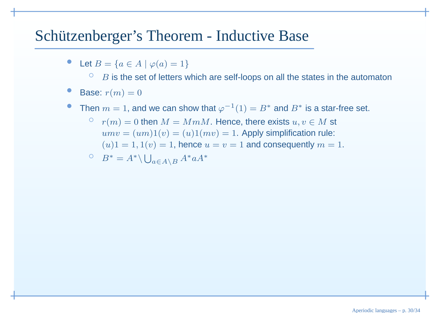#### Schützenberger's Theorem - Inductive Base

•• Let  $B = \{a \in A \mid \varphi(a) = 1\}$ 

 $\circ$  $\circ$   $\,$   $\,B$  is the set of letters which are self-loops on all the states in the automaton

- •Base:  $r(m) = 0$
- •• Then  $m = 1$ , and we can show that  $\varphi^{-1}(1) = B^*$  and  $B^*$  is a star-free set.
	- $\circ$  $r(m) = 0$  then  $M = MmM$ . Hence, there exists  $u, v \in M$  st<br> $r(mv) = (um)1(v) = (u)1(mv) = 1$ . Apply simplification rule:  $\textit{u}mv = (\textit{um})1(v) = (u)1(\textit{mv}) = 1.$  Apply simplification rule:  $(u)1=1, 1(v)=1,$  hence  $u=v=1$  and consequently  $m=1.$

$$
B^* = A^* \setminus \bigcup_{a \in A \setminus B} A^* a A^*
$$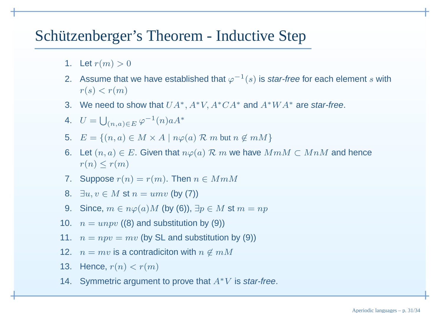### Schützenberger's Theorem - Inductive Step

- 1. Let  $r(m) > 0$
- 2. Assume that we have established that  $\varphi^{-1}(s)$  is *star-free* for each element  $s$  with  $r(s) < r(m)$
- 3. We need to show that  $UA^*, A^*V, A^*CA^*$  and  $A^*WA^*$  are star-free.
- 4.  $U = \bigcup_{(n,a)\in E} \varphi^{-1}(n)aA^*$
- 5.  $E = \{(n, a) \in M \times A \mid n\varphi(a) \mathcal{R} \text{ } m \text{ } but } n \notin mM\}$
- 6. Let  $(n, a) \in E$ . Given that  $n\varphi(a) \mathrel{\mathcal{R}} m$  we have  $MmM \subset MnM$  and hence  $x(n) \leq x(m)$  $r(n) \leq r(m)$
- 7. Suppose  $r(n) = r(m)$ . Then  $n \in MmM$
- 8.  $∃u, v ∈ M$  st  $n = umv$  (by (7))
- 9. Since,  $m \in n\varphi(a)M$  (by (6)),  $\exists p \in M$  st  $m = np$
- 10.  $n = unpv$  ((8) and substitution by (9))
- 11.  $n = npv = mv$  (by SL and substitution by (9))
- 12.  $n = mv$  is a contradiciton with  $n \not\in mM$
- 13. Hence,  $r(n) < r(m)$
- 14. Symmetric argument to prove that  $A^*V$  is star-free.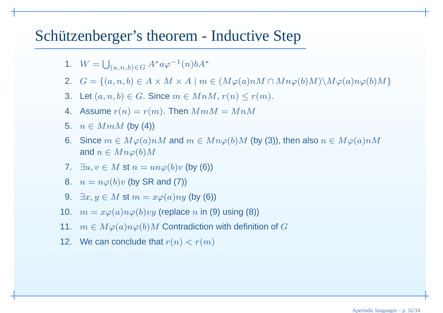#### Schützenberger's theorem - Inductive Step

- 1.  $W = \bigcup_{(a,n,b)\in G} A^* a \varphi^{-1}(n) b A^*$
- 2.  $G = \{(a, n, b) \in A \times M \times A \mid m \in (M\varphi(a)nM \cap Mn\varphi(b)M)\setminus M\varphi(a)n\varphi(b)M\}$
- 3. Let  $(a, n, b) \in G$ . Since  $m \in MnM$ ,  $r(n) \le r(m)$ .
- 4. Assume  $r(n) = r(m)$ . Then  $MmM = MnM$
- $5. \quad n \in MmM$  (by (4))
- 6. Since  $m \in M\varphi(a)nM$  and  $m \in Mn\varphi(b)M$  (by (3)), then also  $n \in M\varphi(a)nM$ and  $n \in Mn\varphi(b)M$
- 7.  $\exists u, v \in M$  st  $n = un\varphi(b)v$  (by (6))
- 8.  $n = n\varphi(b)v$  (by SR and (7))
- 9.  $∃x, y ∈ M$  st  $m = xφ(a)ny$  (by (6))
- 10.  $m = x\varphi(a)n\varphi(b)vy$  (replace  $n$  in (9) using (8))
- 11.  $m \in M\varphi(a)n\varphi(b)M$  Contradiction with definition of  $G$
- 12. We can conclude that  $r(n) < r(m)$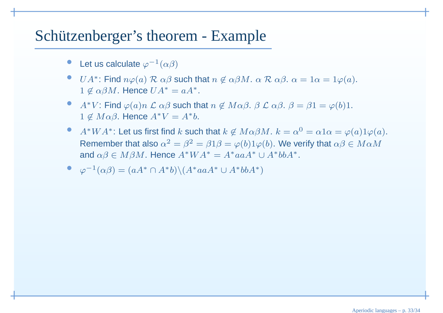#### Schützenberger's theorem - Example

- •• Let us calculate  $\varphi^{-1}(\alpha\beta)$
- •UA<sup>\*</sup>: Find  $n\varphi(a)$  R  $\alpha\beta$  such that  $n \notin \alpha\beta M$ .  $\alpha$  R  $\alpha\beta$ .  $\alpha = 1\alpha = 1\varphi(a)$ .<br>1.  $\alpha \otimes M$ , Hange  $U_A^* = \alpha A^*$  $1 \not\in \alpha \beta M$ . Hence  $UA^* = aA^*$ .
- $\bullet$ •  $A^*V$ : Find  $\varphi(a)n$  *L* α*β* such that  $n \notin M\alpha\beta$ .  $\beta$  *L* α*β*.  $\beta = \beta1 = \varphi(b)1$ .  $1 \not\in M\alpha\beta$ . Hence  $A^*V = A^*b$ .
- $\bullet$ •  $A^*WA^*$ : Let us first find  $k$  such that  $k \notin M\alpha\beta M$ .  $k = \alpha^0 = \alpha 1\alpha = \varphi(a)1\varphi(a)$ . Remember that also  $\alpha^2 = \beta^2 = \beta 1\beta = \varphi(b)1\varphi(b)$ . We verify that  $\alpha\beta \in M\alpha M$ and  $\alpha\beta \in M\beta M$ . Hence  $A^*WA^* = A^*aaA^* \cup A^*bbA^*.$

$$
\bullet \quad \varphi^{-1}(\alpha \beta) = (aA^* \cap A^*b) \setminus (A^*aaA^* \cup A^*bbA^*)
$$